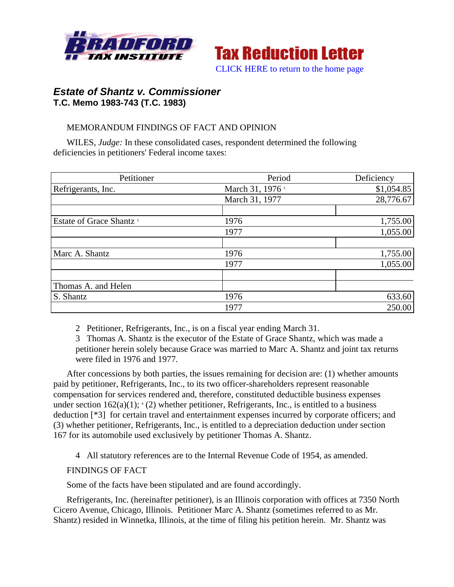



# *Estate of Shantz v. Commissioner*  **T.C. Memo 1983-743 (T.C. 1983)**

# MEMORANDUM FINDINGS OF FACT AND OPINION

WILES, *Judge:* In these consolidated cases, respondent determined the following deficiencies in petitioners' Federal income taxes:

| Petitioner                          | Period                      | Deficiency |
|-------------------------------------|-----------------------------|------------|
| Refrigerants, Inc.                  | March 31, 1976 <sup>2</sup> | \$1,054.85 |
|                                     | March 31, 1977              | 28,776.67  |
|                                     |                             |            |
| Estate of Grace Shantz <sup>3</sup> | 1976                        | 1,755.00   |
|                                     | 1977                        | 1,055.00   |
|                                     |                             |            |
| Marc A. Shantz                      | 1976                        | 1,755.00   |
|                                     | 1977                        | 1,055.00   |
|                                     |                             |            |
| Thomas A. and Helen                 |                             |            |
| S. Shantz                           | 1976                        | 633.60     |
|                                     | 1977                        | 250.00     |

2 Petitioner, Refrigerants, Inc., is on a fiscal year ending March 31.

3 Thomas A. Shantz is the executor of the Estate of Grace Shantz, which was made a petitioner herein solely because Grace was married to Marc A. Shantz and joint tax returns were filed in 1976 and 1977.

After concessions by both parties, the issues remaining for decision are: (1) whether amounts paid by petitioner, Refrigerants, Inc., to its two officer-shareholders represent reasonable compensation for services rendered and, therefore, constituted deductible business expenses under section  $162(a)(1)$ ;  $(2)$  whether petitioner, Refrigerants, Inc., is entitled to a business deduction [\*3] for certain travel and entertainment expenses incurred by corporate officers; and (3) whether petitioner, Refrigerants, Inc., is entitled to a depreciation deduction under section 167 for its automobile used exclusively by petitioner Thomas A. Shantz.

4 All statutory references are to the Internal Revenue Code of 1954, as amended.

## FINDINGS OF FACT

Some of the facts have been stipulated and are found accordingly.

Refrigerants, Inc. (hereinafter petitioner), is an Illinois corporation with offices at 7350 North Cicero Avenue, Chicago, Illinois. Petitioner Marc A. Shantz (sometimes referred to as Mr. Shantz) resided in Winnetka, Illinois, at the time of filing his petition herein. Mr. Shantz was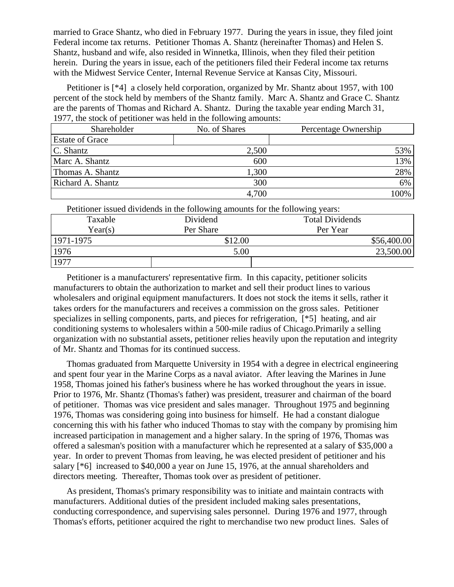married to Grace Shantz, who died in February 1977. During the years in issue, they filed joint Federal income tax returns. Petitioner Thomas A. Shantz (hereinafter Thomas) and Helen S. Shantz, husband and wife, also resided in Winnetka, Illinois, when they filed their petition herein. During the years in issue, each of the petitioners filed their Federal income tax returns with the Midwest Service Center, Internal Revenue Service at Kansas City, Missouri.

Petitioner is [<sup>\*4</sup>] a closely held corporation, organized by Mr. Shantz about 1957, with 100 percent of the stock held by members of the Shantz family. Marc A. Shantz and Grace C. Shantz are the parents of Thomas and Richard A. Shantz. During the taxable year ending March 31, 1977, the stock of petitioner was held in the following amounts:

| Shareholder            | No. of Shares | Percentage Ownership |
|------------------------|---------------|----------------------|
| <b>Estate of Grace</b> |               |                      |
| C. Shantz              | 2,500         | 53%                  |
| Marc A. Shantz         | 600           | 13%                  |
| Thomas A. Shantz       | 1,300         | 28%                  |
| Richard A. Shantz      | 300           | 6%                   |
|                        | 4,700         | 100%                 |

Petitioner issued dividends in the following amounts for the following years:

| Taxable   | Dividend  | <b>Total Dividends</b> |
|-----------|-----------|------------------------|
| Year(s)   | Per Share | Per Year               |
| 1971-1975 | \$12.00   | \$56,400.00            |
| 1976      | 5.00      | 23,500.00              |
| 1977      |           |                        |

Petitioner is a manufacturers' representative firm. In this capacity, petitioner solicits manufacturers to obtain the authorization to market and sell their product lines to various wholesalers and original equipment manufacturers. It does not stock the items it sells, rather it takes orders for the manufacturers and receives a commission on the gross sales. Petitioner specializes in selling components, parts, and pieces for refrigeration, [\*5] heating, and air conditioning systems to wholesalers within a 500-mile radius of Chicago.Primarily a selling organization with no substantial assets, petitioner relies heavily upon the reputation and integrity of Mr. Shantz and Thomas for its continued success.

Thomas graduated from Marquette University in 1954 with a degree in electrical engineering and spent four year in the Marine Corps as a naval aviator. After leaving the Marines in June 1958, Thomas joined his father's business where he has worked throughout the years in issue. Prior to 1976, Mr. Shantz (Thomas's father) was president, treasurer and chairman of the board of petitioner. Thomas was vice president and sales manager. Throughout 1975 and beginning 1976, Thomas was considering going into business for himself. He had a constant dialogue concerning this with his father who induced Thomas to stay with the company by promising him increased participation in management and a higher salary. In the spring of 1976, Thomas was offered a salesman's position with a manufacturer which he represented at a salary of \$35,000 a year. In order to prevent Thomas from leaving, he was elected president of petitioner and his salary [\*6] increased to \$40,000 a year on June 15, 1976, at the annual shareholders and directors meeting. Thereafter, Thomas took over as president of petitioner.

As president, Thomas's primary responsibility was to initiate and maintain contracts with manufacturers. Additional duties of the president included making sales presentations, conducting correspondence, and supervising sales personnel. During 1976 and 1977, through Thomas's efforts, petitioner acquired the right to merchandise two new product lines. Sales of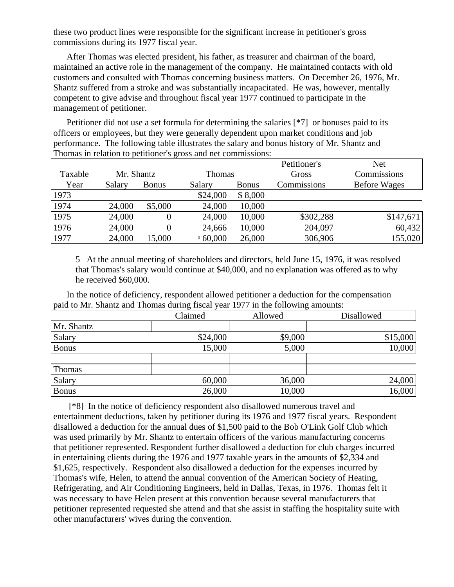these two product lines were responsible for the significant increase in petitioner's gross commissions during its 1977 fiscal year.

After Thomas was elected president, his father, as treasurer and chairman of the board, maintained an active role in the management of the company. He maintained contacts with old customers and consulted with Thomas concerning business matters. On December 26, 1976, Mr. Shantz suffered from a stroke and was substantially incapacitated. He was, however, mentally competent to give advise and throughout fiscal year 1977 continued to participate in the management of petitioner.

Petitioner did not use a set formula for determining the salaries [\*7] or bonuses paid to its officers or employees, but they were generally dependent upon market conditions and job performance. The following table illustrates the salary and bonus history of Mr. Shantz and Thomas in relation to petitioner's gross and net commissions:

|         |            |              |               |              | Petitioner's | <b>Net</b>          |
|---------|------------|--------------|---------------|--------------|--------------|---------------------|
| Taxable | Mr. Shantz |              | <b>Thomas</b> |              | Gross        | Commissions         |
| Year    | Salary     | <b>Bonus</b> | Salary        | <b>Bonus</b> | Commissions  | <b>Before Wages</b> |
| 1973    |            |              | \$24,000      | \$8,000      |              |                     |
| 1974    | 24,000     | \$5,000      | 24,000        | 10,000       |              |                     |
| 1975    | 24,000     |              | 24,000        | 10,000       | \$302,288    | \$147,671           |
| 1976    | 24,000     |              | 24,666        | 10,000       | 204,097      | 60,432              |
| 1977    | 24,000     | 15,000       | 560,000       | 26,000       | 306,906      | 155,020             |

5 At the annual meeting of shareholders and directors, held June 15, 1976, it was resolved that Thomas's salary would continue at \$40,000, and no explanation was offered as to why he received \$60,000.

In the notice of deficiency, respondent allowed petitioner a deduction for the compensation paid to Mr. Shantz and Thomas during fiscal year 1977 in the following amounts:

|              | Claimed  | Allowed | <b>Disallowed</b> |
|--------------|----------|---------|-------------------|
| Mr. Shantz   |          |         |                   |
| Salary       | \$24,000 | \$9,000 | \$15,000          |
| <b>Bonus</b> | 15,000   | 5,000   | 10,000            |
|              |          |         |                   |
| Thomas       |          |         |                   |
| Salary       | 60,000   | 36,000  | 24,000            |
| <b>Bonus</b> | 26,000   | 10,000  | 16,000            |

 [\*8] In the notice of deficiency respondent also disallowed numerous travel and entertainment deductions, taken by petitioner during its 1976 and 1977 fiscal years. Respondent disallowed a deduction for the annual dues of \$1,500 paid to the Bob O'Link Golf Club which was used primarily by Mr. Shantz to entertain officers of the various manufacturing concerns that petitioner represented. Respondent further disallowed a deduction for club charges incurred in entertaining clients during the 1976 and 1977 taxable years in the amounts of \$2,334 and \$1,625, respectively. Respondent also disallowed a deduction for the expenses incurred by Thomas's wife, Helen, to attend the annual convention of the American Society of Heating, Refrigerating, and Air Conditioning Engineers, held in Dallas, Texas, in 1976. Thomas felt it was necessary to have Helen present at this convention because several manufacturers that petitioner represented requested she attend and that she assist in staffing the hospitality suite with other manufacturers' wives during the convention.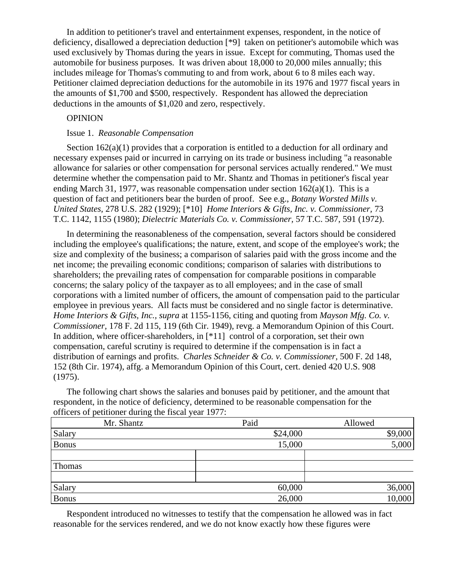In addition to petitioner's travel and entertainment expenses, respondent, in the notice of deficiency, disallowed a depreciation deduction [\*9] taken on petitioner's automobile which was used exclusively by Thomas during the years in issue. Except for commuting, Thomas used the automobile for business purposes. It was driven about 18,000 to 20,000 miles annually; this includes mileage for Thomas's commuting to and from work, about 6 to 8 miles each way. Petitioner claimed depreciation deductions for the automobile in its 1976 and 1977 fiscal years in the amounts of \$1,700 and \$500, respectively. Respondent has allowed the depreciation deductions in the amounts of \$1,020 and zero, respectively.

# **OPINION**

#### Issue 1. *Reasonable Compensation*

Section 162(a)(1) provides that a corporation is entitled to a deduction for all ordinary and necessary expenses paid or incurred in carrying on its trade or business including "a reasonable allowance for salaries or other compensation for personal services actually rendered." We must determine whether the compensation paid to Mr. Shantz and Thomas in petitioner's fiscal year ending March 31, 1977, was reasonable compensation under section  $162(a)(1)$ . This is a question of fact and petitioners bear the burden of proof. See e.g., *Botany Worsted Mills v. United States,* 278 U.S. 282 (1929); [\*10] *Home Interiors & Gifts, Inc. v. Commissioner,* 73 T.C. 1142, 1155 (1980); *Dielectric Materials Co. v. Commissioner,* 57 T.C. 587, 591 (1972).

In determining the reasonableness of the compensation, several factors should be considered including the employee's qualifications; the nature, extent, and scope of the employee's work; the size and complexity of the business; a comparison of salaries paid with the gross income and the net income; the prevailing economic conditions; comparison of salaries with distributions to shareholders; the prevailing rates of compensation for comparable positions in comparable concerns; the salary policy of the taxpayer as to all employees; and in the case of small corporations with a limited number of officers, the amount of compensation paid to the particular employee in previous years. All facts must be considered and no single factor is determinative. *Home Interiors & Gifts, Inc., supra* at 1155-1156, citing and quoting from *Mayson Mfg. Co. v. Commissioner,* 178 F. 2d 115, 119 (6th Cir. 1949), revg. a Memorandum Opinion of this Court. In addition, where officer-shareholders, in [\*11] control of a corporation, set their own compensation, careful scrutiny is required to determine if the compensation is in fact a distribution of earnings and profits. *Charles Schneider & Co. v. Commissioner,* 500 F. 2d 148, 152 (8th Cir. 1974), affg. a Memorandum Opinion of this Court, cert. denied 420 U.S. 908 (1975).

The following chart shows the salaries and bonuses paid by petitioner, and the amount that respondent, in the notice of deficiency, determined to be reasonable compensation for the officers of petitioner during the fiscal year 1977:

| ັ<br>Mr. Shantz | Paid     | Allowed |
|-----------------|----------|---------|
| Salary          | \$24,000 | \$9,000 |
| <b>Bonus</b>    | 15,000   | 5,000   |
|                 |          |         |
| Thomas          |          |         |
|                 |          |         |
| Salary          | 60,000   | 36,000  |
| <b>Bonus</b>    | 26,000   | 10,000  |

Respondent introduced no witnesses to testify that the compensation he allowed was in fact reasonable for the services rendered, and we do not know exactly how these figures were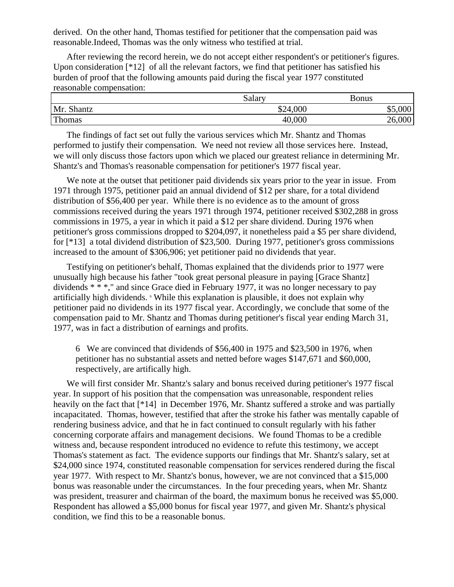derived. On the other hand, Thomas testified for petitioner that the compensation paid was reasonable.Indeed, Thomas was the only witness who testified at trial.

After reviewing the record herein, we do not accept either respondent's or petitioner's figures. Upon consideration [\*12] of all the relevant factors, we find that petitioner has satisfied his burden of proof that the following amounts paid during the fiscal year 1977 constituted reasonable compensation:

|            | Salary   | Bonus       |
|------------|----------|-------------|
| Mr. Shantz | \$24,000 | ,000<br>JJ. |
| Thomas     | 40,000   | 26,000      |

The findings of fact set out fully the various services which Mr. Shantz and Thomas performed to justify their compensation. We need not review all those services here. Instead, we will only discuss those factors upon which we placed our greatest reliance in determining Mr. Shantz's and Thomas's reasonable compensation for petitioner's 1977 fiscal year.

We note at the outset that petitioner paid dividends six years prior to the year in issue. From 1971 through 1975, petitioner paid an annual dividend of \$12 per share, for a total dividend distribution of \$56,400 per year. While there is no evidence as to the amount of gross commissions received during the years 1971 through 1974, petitioner received \$302,288 in gross commissions in 1975, a year in which it paid a \$12 per share dividend. During 1976 when petitioner's gross commissions dropped to \$204,097, it nonetheless paid a \$5 per share dividend, for [\*13] a total dividend distribution of \$23,500. During 1977, petitioner's gross commissions increased to the amount of \$306,906; yet petitioner paid no dividends that year.

Testifying on petitioner's behalf, Thomas explained that the dividends prior to 1977 were unusually high because his father "took great personal pleasure in paying [Grace Shantz] dividends \* \* \*," and since Grace died in February 1977, it was no longer necessary to pay artificially high dividends.  $\epsilon$  While this explanation is plausible, it does not explain why petitioner paid no dividends in its 1977 fiscal year. Accordingly, we conclude that some of the compensation paid to Mr. Shantz and Thomas during petitioner's fiscal year ending March 31, 1977, was in fact a distribution of earnings and profits.

6 We are convinced that dividends of \$56,400 in 1975 and \$23,500 in 1976, when petitioner has no substantial assets and netted before wages \$147,671 and \$60,000, respectively, are artifically high.

We will first consider Mr. Shantz's salary and bonus received during petitioner's 1977 fiscal year. In support of his position that the compensation was unreasonable, respondent relies heavily on the fact that [\*14] in December 1976, Mr. Shantz suffered a stroke and was partially incapacitated. Thomas, however, testified that after the stroke his father was mentally capable of rendering business advice, and that he in fact continued to consult regularly with his father concerning corporate affairs and management decisions. We found Thomas to be a credible witness and, because respondent introduced no evidence to refute this testimony, we accept Thomas's statement as fact. The evidence supports our findings that Mr. Shantz's salary, set at \$24,000 since 1974, constituted reasonable compensation for services rendered during the fiscal year 1977. With respect to Mr. Shantz's bonus, however, we are not convinced that a \$15,000 bonus was reasonable under the circumstances. In the four preceding years, when Mr. Shantz was president, treasurer and chairman of the board, the maximum bonus he received was \$5,000. Respondent has allowed a \$5,000 bonus for fiscal year 1977, and given Mr. Shantz's physical condition, we find this to be a reasonable bonus.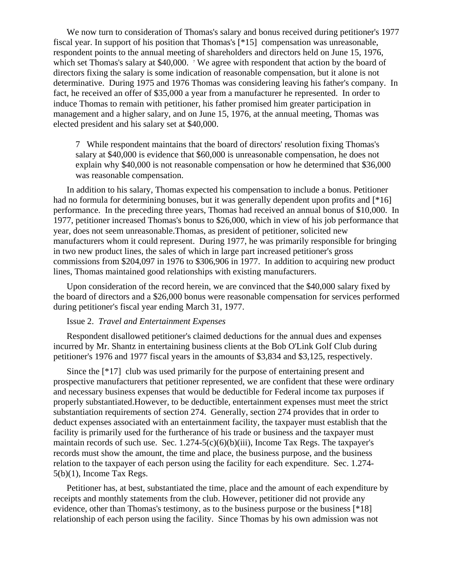We now turn to consideration of Thomas's salary and bonus received during petitioner's 1977 fiscal year. In support of his position that Thomas's [\*15] compensation was unreasonable, respondent points to the annual meeting of shareholders and directors held on June 15, 1976, which set Thomas's salary at \$40,000.  $\frac{7}{10}$  We agree with respondent that action by the board of directors fixing the salary is some indication of reasonable compensation, but it alone is not determinative. During 1975 and 1976 Thomas was considering leaving his father's company. In fact, he received an offer of \$35,000 a year from a manufacturer he represented. In order to induce Thomas to remain with petitioner, his father promised him greater participation in management and a higher salary, and on June 15, 1976, at the annual meeting, Thomas was elected president and his salary set at \$40,000.

7 While respondent maintains that the board of directors' resolution fixing Thomas's salary at \$40,000 is evidence that \$60,000 is unreasonable compensation, he does not explain why \$40,000 is not reasonable compensation or how he determined that \$36,000 was reasonable compensation.

In addition to his salary, Thomas expected his compensation to include a bonus. Petitioner had no formula for determining bonuses, but it was generally dependent upon profits and [\*16] performance. In the preceding three years, Thomas had received an annual bonus of \$10,000. In 1977, petitioner increased Thomas's bonus to \$26,000, which in view of his job performance that year, does not seem unreasonable.Thomas, as president of petitioner, solicited new manufacturers whom it could represent. During 1977, he was primarily responsible for bringing in two new product lines, the sales of which in large part increased petitioner's gross commissions from \$204,097 in 1976 to \$306,906 in 1977. In addition to acquiring new product lines, Thomas maintained good relationships with existing manufacturers.

Upon consideration of the record herein, we are convinced that the \$40,000 salary fixed by the board of directors and a \$26,000 bonus were reasonable compensation for services performed during petitioner's fiscal year ending March 31, 1977.

#### Issue 2. *Travel and Entertainment Expenses*

Respondent disallowed petitioner's claimed deductions for the annual dues and expenses incurred by Mr. Shantz in entertaining business clients at the Bob O'Link Golf Club during petitioner's 1976 and 1977 fiscal years in the amounts of \$3,834 and \$3,125, respectively.

Since the [\*17] club was used primarily for the purpose of entertaining present and prospective manufacturers that petitioner represented, we are confident that these were ordinary and necessary business expenses that would be deductible for Federal income tax purposes if properly substantiated.However, to be deductible, entertainment expenses must meet the strict substantiation requirements of section 274. Generally, section 274 provides that in order to deduct expenses associated with an entertainment facility, the taxpayer must establish that the facility is primarily used for the furtherance of his trade or business and the taxpayer must maintain records of such use. Sec.  $1.274-5(c)(6)(b)(iii)$ , Income Tax Regs. The taxpayer's records must show the amount, the time and place, the business purpose, and the business relation to the taxpayer of each person using the facility for each expenditure. Sec. 1.274- 5(b)(1), Income Tax Regs.

Petitioner has, at best, substantiated the time, place and the amount of each expenditure by receipts and monthly statements from the club. However, petitioner did not provide any evidence, other than Thomas's testimony, as to the business purpose or the business [\*18] relationship of each person using the facility. Since Thomas by his own admission was not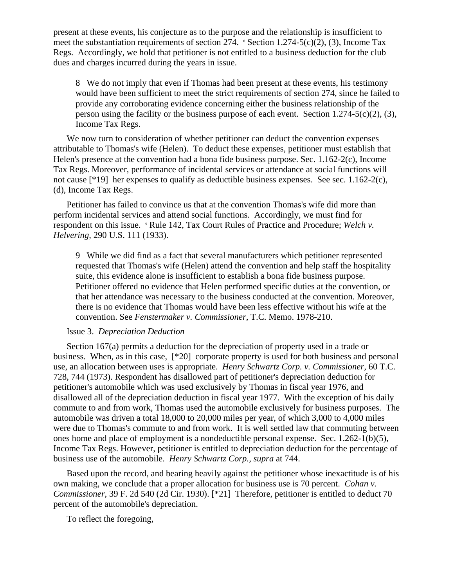present at these events, his conjecture as to the purpose and the relationship is insufficient to meet the substantiation requirements of section 274.  $\textdegree$  Section 1.274-5(c)(2), (3), Income Tax Regs. Accordingly, we hold that petitioner is not entitled to a business deduction for the club dues and charges incurred during the years in issue.

8 We do not imply that even if Thomas had been present at these events, his testimony would have been sufficient to meet the strict requirements of section 274, since he failed to provide any corroborating evidence concerning either the business relationship of the person using the facility or the business purpose of each event. Section  $1.274-5(c)(2)$ , (3), Income Tax Regs.

We now turn to consideration of whether petitioner can deduct the convention expenses attributable to Thomas's wife (Helen). To deduct these expenses, petitioner must establish that Helen's presence at the convention had a bona fide business purpose. Sec. 1.162-2(c), Income Tax Regs. Moreover, performance of incidental services or attendance at social functions will not cause [\*19] her expenses to qualify as deductible business expenses. See sec. 1.162-2(c), (d), Income Tax Regs.

Petitioner has failed to convince us that at the convention Thomas's wife did more than perform incidental services and attend social functions. Accordingly, we must find for respondent on this issue. <sup>9</sup> Rule 142, Tax Court Rules of Practice and Procedure; *Welch v. Helvering,* 290 U.S. 111 (1933).

9 While we did find as a fact that several manufacturers which petitioner represented requested that Thomas's wife (Helen) attend the convention and help staff the hospitality suite, this evidence alone is insufficient to establish a bona fide business purpose. Petitioner offered no evidence that Helen performed specific duties at the convention, or that her attendance was necessary to the business conducted at the convention. Moreover, there is no evidence that Thomas would have been less effective without his wife at the convention. See *Fenstermaker v. Commissioner,* T.C. Memo. 1978-210.

### Issue 3. *Depreciation Deduction*

Section 167(a) permits a deduction for the depreciation of property used in a trade or business. When, as in this case, [\*20] corporate property is used for both business and personal use, an allocation between uses is appropriate. *Henry Schwartz Corp. v. Commissioner,* 60 T.C. 728, 744 (1973). Respondent has disallowed part of petitioner's depreciation deduction for petitioner's automobile which was used exclusively by Thomas in fiscal year 1976, and disallowed all of the depreciation deduction in fiscal year 1977. With the exception of his daily commute to and from work, Thomas used the automobile exclusively for business purposes. The automobile was driven a total 18,000 to 20,000 miles per year, of which 3,000 to 4,000 miles were due to Thomas's commute to and from work. It is well settled law that commuting between ones home and place of employment is a nondeductible personal expense. Sec. 1.262-1(b)(5), Income Tax Regs. However, petitioner is entitled to depreciation deduction for the percentage of business use of the automobile. *Henry Schwartz Corp., supra* at 744.

Based upon the record, and bearing heavily against the petitioner whose inexactitude is of his own making, we conclude that a proper allocation for business use is 70 percent. *Cohan v. Commissioner,* 39 F. 2d 540 (2d Cir. 1930). [\*21] Therefore, petitioner is entitled to deduct 70 percent of the automobile's depreciation.

To reflect the foregoing,